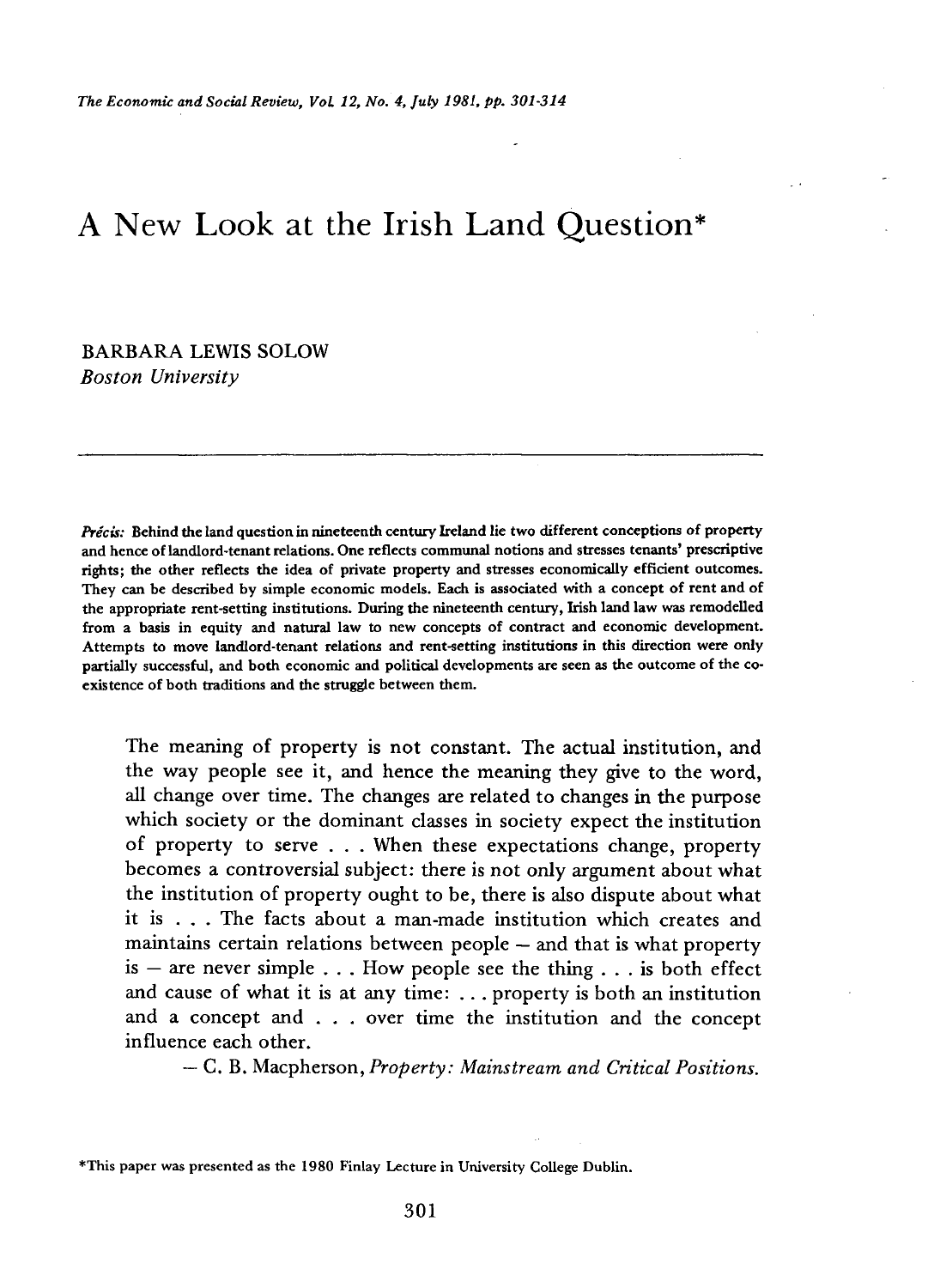# A New Look at the Irish Land Question\*

## BARBARA LEWIS SOLOW *Boston University*

*Precis:* **Behind the land question in nineteenth century Ireland lie two different conceptions of property and hence of landlord-tenant relations. One reflects communal notions and stresses tenants' prescriptive rights; the other reflects the idea of private property and stresses economically efficient outcomes. They can be described by simple economic models. Each is associated with a concept of rent and of the appropriate rent-setting institutions. During the nineteenth century, Irish land law was remodelled from a basis in equity and natural law to new concepts of contract and economic development. Attempts to move landlord-tenant relations and rent-setting institutions in this direction were only partially successful, and both economic and political developments are seen as the outcome of the coexistence of both traditions and the struggle between them.** 

The meaning of property is not constant. The actual institution, and the way people see it, and hence the meaning they give to the word. all change over time. The changes are related to changes in the purpose which society or the dominant classes in society expect the institution of property to serve . . . When these expectations change, property becomes a controversial subject: there is not only argument about what the institution of property ought to be, there is also dispute about what it is . . . The facts about a man-made institution which creates and maintains certain relations between people — and that is what property is – are never simple  $\ldots$ . How people see the thing  $\ldots$  is both effect and cause of what it is at any time:  $\ldots$  property is both an institution and a concept and . . . over time the institution and the concept influence each other.

— C. B. Macpherson, *Property: Mainstream and Critical Positions.* 

**\*This paper was presented as the 1980 Finlay Lecture in University College Dublin.**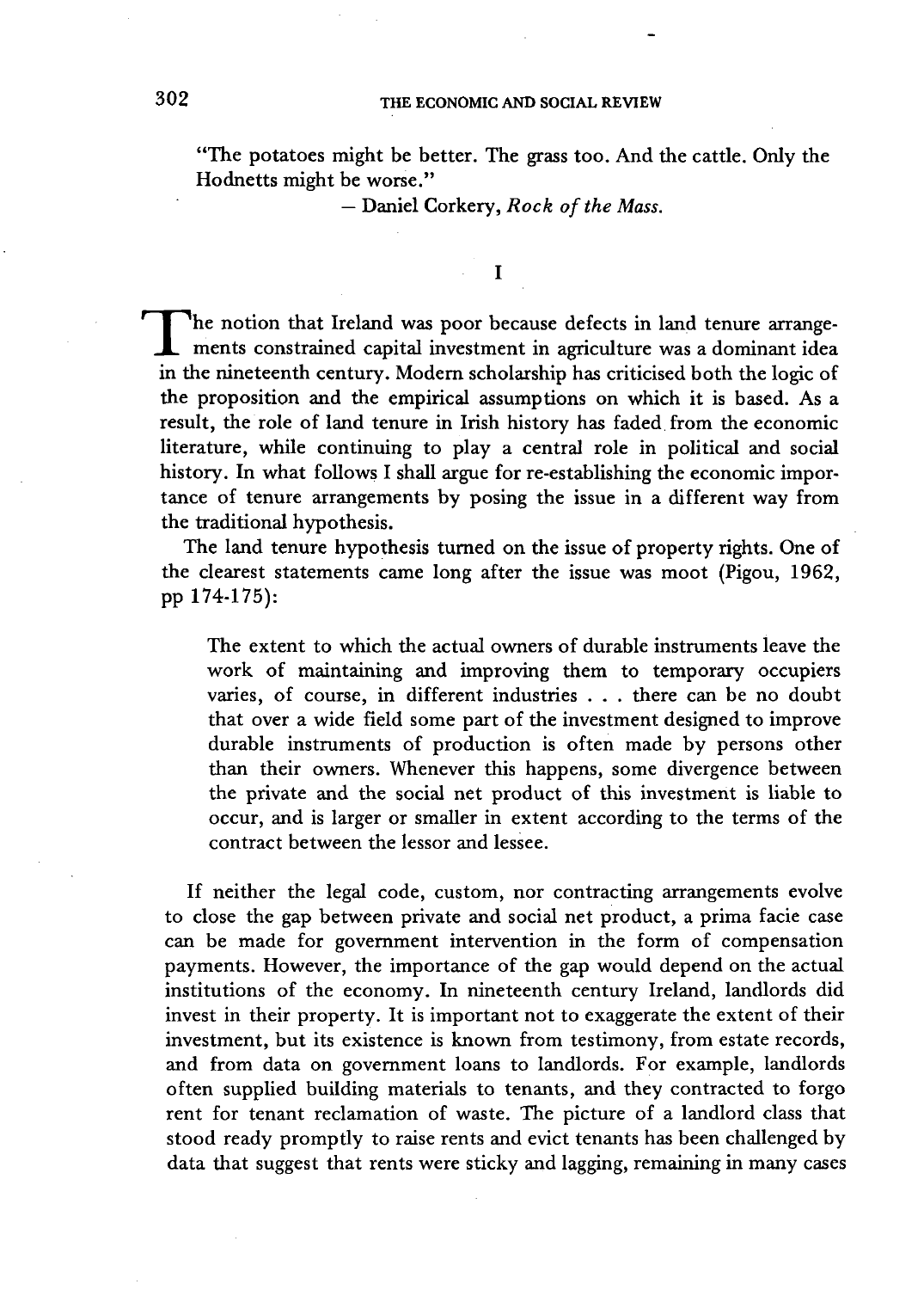### THE ECONOMIC AND SOCIAL REVIEW

"The potatoes might be better. The grass too. And the cattle. Only the Hodnetts might be worse."

— Daniel Corkery, *Rock of the Mass.* 

 $\mathbf I$ 

The notion that Ireland was poor because defects in land tenure arrangements constrained capital investment in agriculture was a dominant idea<br>in the nineteenth century. Modern scholarship has criticized both the logic of The notion that Ireland was poor because defects in land tenure arrangein the nineteenth century. Modern scholarship has criticised both the logic of the proposition and the empirical assumptions on which it is based. As a result, the role of land tenure in Irish history has faded from the economic literature, while continuing to play a central role in political and social history. In what follows I shall argue for re-establishing the economic importance of tenure arrangements by posing the issue in a different way from the traditional hypothesis.

The land tenure hypothesis turned on the issue of property rights. One of the clearest statements came long after the issue was moot (Pigou, 1962, pp 174-175):

The extent to which the actual owners of durable instruments leave the work of maintaining and improving them to temporary occupiers varies, of course, in different industries . . . there can be no doubt that over a wide field some part of the investment designed to improve durable instruments of production is often made by persons other than their owners. Whenever this happens, some divergence between the private and the social net product of this investment is liable to occur, and is larger or smaller in extent according to the terms of the contract between the lessor and lessee.

If neither the legal code, custom, nor contracting arrangements evolve to close the gap between private and social net product, a prima facie case can be made for government intervention in the form of compensation payments. However, the importance of the gap would depend on the actual institutions of the economy. In nineteenth century Ireland, landlords did invest in their property. It is important not to exaggerate the extent of their investment, but its existence is known from testimony, from estate records, and from data on government loans to landlords. For example, landlords often supplied building materials to tenants, and they contracted to forgo rent for tenant reclamation of waste. The picture of a landlord class that stood ready promptly to raise rents and evict tenants has been challenged by data that suggest that rents were sticky and lagging, remaining in many cases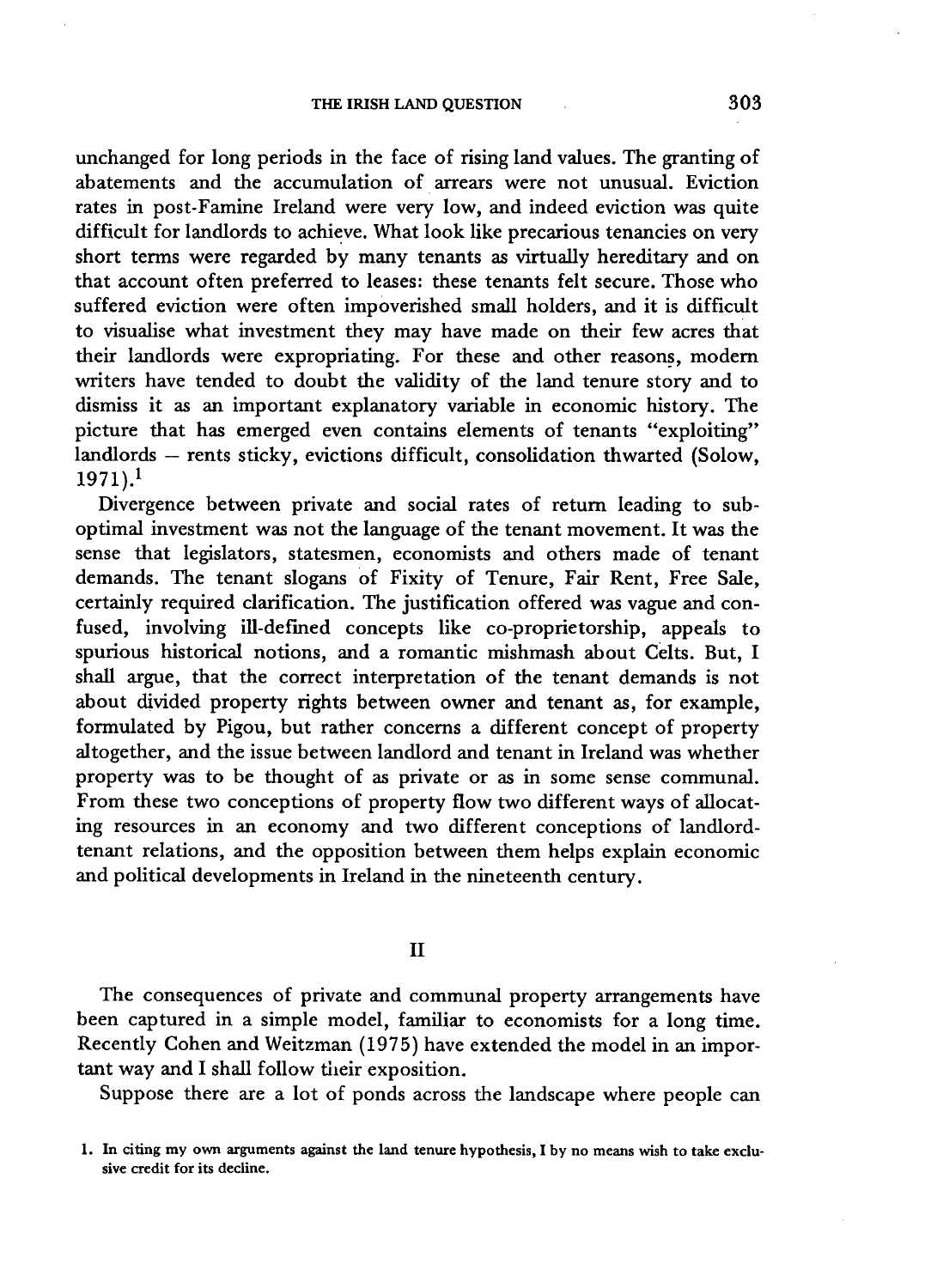unchanged for long periods in the face of rising land values. The granting of abatements and the accumulation of arrears were not unusual. Eviction rates in post-Famine Ireland were very low, and indeed eviction was quite difficult for landlords to achieve. What look like precarious tenancies on very short terms were regarded by many tenants as virtually hereditary and on that account often preferred to leases: these tenants felt secure. Those who suffered eviction were often impoverished small holders, and it is difficult to visualise what investment they may have made on their few acres that their landlords were expropriating. For these and other reasons, modern writers have tended to doubt the validity of the land tenure story and to dismiss it as an important explanatory variable in economic history. The picture that has emerged even contains elements of tenants "exploiting" landlords — rents sticky, evictions difficult, consolidation thwarted (Solow,  $1971$ ).<sup>1</sup>

Divergence between private and social rates of return leading to suboptimal investment was not the language of the tenant movement. It was the sense that legislators, statesmen, economists and others made of tenant demands. The tenant slogans of Fixity of Tenure, Fair Rent, Free Sale, certainly required clarification. The justification offered was vague and confused, involving ill-defined concepts like co-proprietorship, appeals to spurious historical notions, and a romantic mishmash about Celts. But, I shall argue, that the correct interpretation of the tenant demands is not about divided property rights between owner and tenant as, for example, formulated by Pigou, but rather concerns a different concept of property altogether, and the issue between landlord and tenant in Ireland was whether property was to be thought of as private or as in some sense communal. From these two conceptions of property flow two different ways of allocating resources in an economy and two different conceptions of landlordtenant relations, and the opposition between them helps explain economic and political developments in Ireland in the nineteenth century.

 $II$ 

The consequences of private and communal property arrangements have been captured in a simple model, familiar to economists for a long time. Recently Cohen and Weitzman (1975) have extended the model in an important way and I shall follow their exposition.

Suppose there are a lot of ponds across the landscape where people can

**<sup>1.</sup> In citing my own arguments against the land tenure hypothesis, I by no means wish to take exclusive credit for its decline.**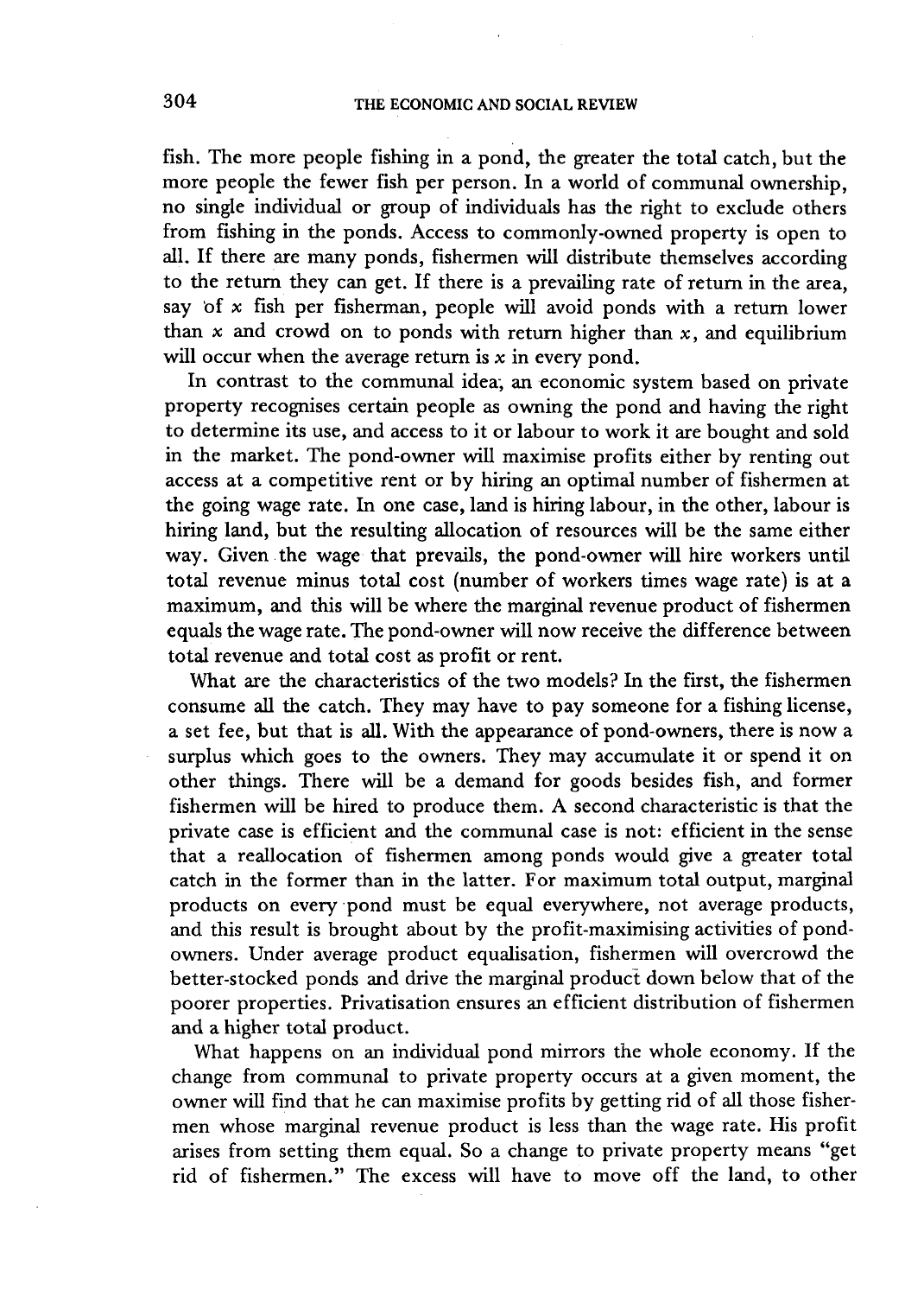fish. The more people fishing in a pond, the greater the total catch, but the more people the fewer fish per person. In a world of communal ownership, no single individual or group of individuals has the right to exclude others from fishing in the ponds. Access to commonly-owned property is open to all. If there are many ponds, fishermen will distribute themselves according to the return they can get. If there is a prevailing rate of return in the area, say of  $x$  fish per fisherman, people will avoid ponds with a return lower than  $x$  and crowd on to ponds with return higher than  $x$ , and equilibrium will occur when the average return is  $x$  in every pond.

In contrast to the communal idea; an economic system based on private property recognises certain people as owning the pond and having the right to determine its use, and access to it or labour to work it are bought and sold in the market. The pond-owner will maximise profits either by renting out access at a competitive rent or by hiring an optimal number of fishermen at the going wage rate. In one case, land is hiring labour, in the other, labour is hiring land, but the resulting allocation of resources will be the same either way. Given the wage that prevails, the pond-owner will hire workers until total revenue minus total cost (number of workers times wage rate) is at a maximum, and this will be where the marginal revenue product of fishermen equals the wage rate. The pond-owner will now receive the difference between total revenue and total cost as profit or rent.

What are the characteristics of the two models? In the first, the fishermen consume all the catch. They may have to pay someone for a fishing license, a set fee, but that is all. With the appearance of pond-owners, there is now a surplus which goes to the owners. They may accumulate it or spend it on other things. There will be a demand for goods besides fish, and former fishermen will be hired to produce them. A second characteristic is that the private case is efficient and the communal case is not: efficient in the sense that a reallocation of fishermen among ponds would give a greater total catch in the former than in the latter. For maximum total output, marginal products on every pond must be equal everywhere, not average products, and this result is brought about by the profit-maximising activities of pondowners. Under average product equalisation, fishermen will overcrowd the better-stocked ponds and drive the marginal product down below that of the poorer properties. Privatisation ensures an efficient distribution of fishermen and a higher total product.

What happens on an individual pond mirrors the whole economy. If the change from communal to private property occurs at a given moment, the owner will find that he can maximise profits by getting rid of all those fishermen whose marginal revenue product is less than the wage rate. His profit arises from setting them equal. So a change to private property means "get rid of fishermen." The excess will have to move off the land, to other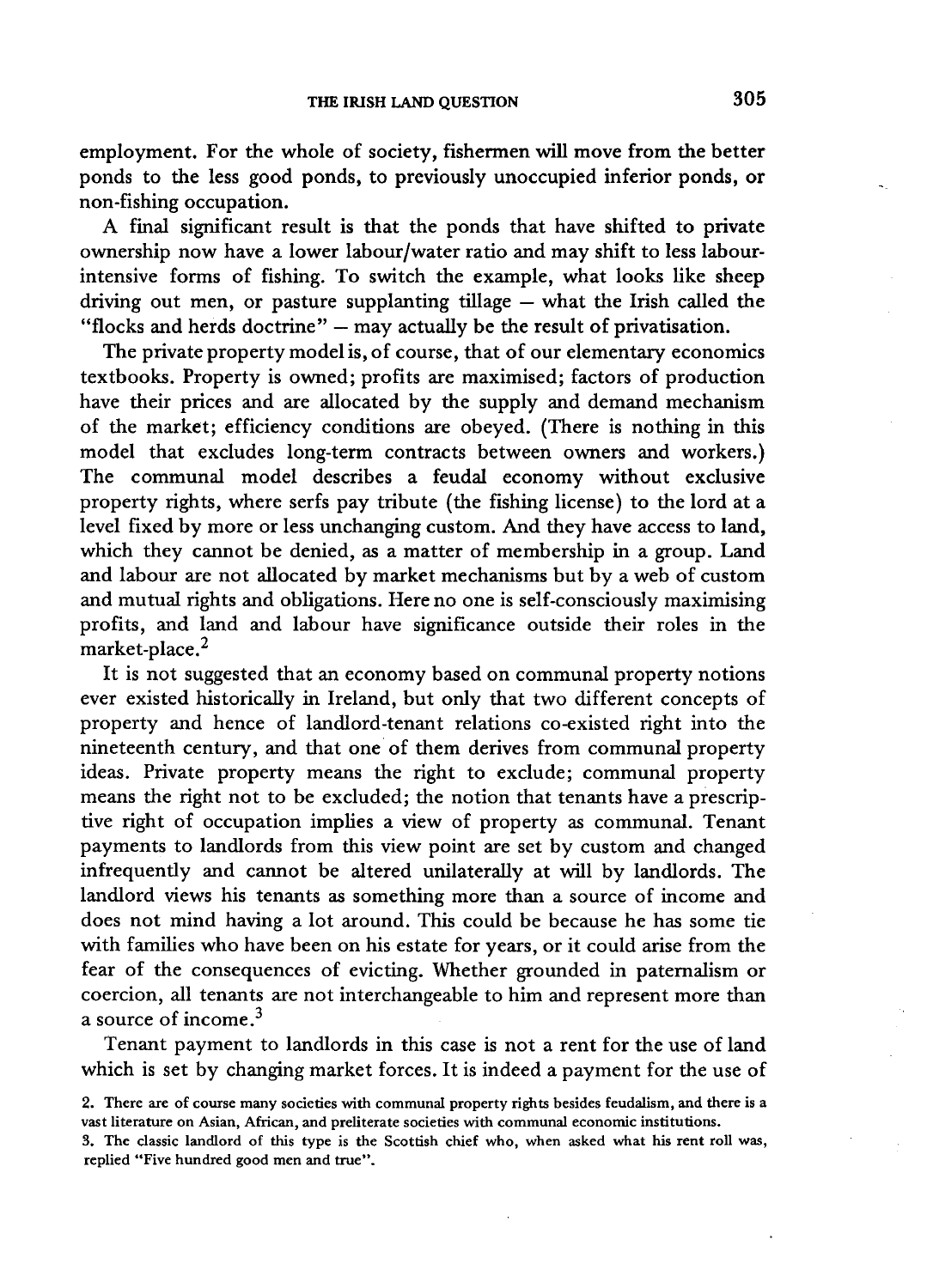employment. For the whole of society, fishermen will move from the better ponds to the less good ponds, to previously unoccupied inferior ponds, or non-fishing occupation.

A final significant result is that the ponds that have shifted to private ownership now have a lower labour/water ratio and may shift to less labourintensive forms of fishing. To switch the example, what looks like sheep driving out men, or pasture supplanting tillage — what the Irish called the "flocks and herds doctrine"  $-$  may actually be the result of privatisation.

The private property model is, of course, that of our elementary economics textbooks. Property is owned; profits are maximised; factors of production have their prices and are allocated by the supply and demand mechanism of the market; efficiency conditions are obeyed. (There is nothing in this model that excludes long-term contracts between owners and workers.) The communal model describes a feudal economy without exclusive property rights, where serfs pay tribute (the fishing license) to the lord at a level fixed by more or less unchanging custom. And they have access to land, which they cannot be denied, as a matter of membership in a group. Land and labour are not allocated by market mechanisms but by a web of custom and mutual rights and obligations. Here no one is self-consciously maximising profits, and land and labour have significance outside their roles in the market-place.<sup>2</sup>

It is not suggested that an economy based on communal property notions ever existed historically in Ireland, but only that two different concepts of property and hence of landlord-tenant relations co-existed right into the nineteenth century, and that one of them derives from communal property ideas. Private property means the right to exclude; communal property means the right not to be excluded; the notion that tenants have a prescriptive right of occupation implies a view of property as communal. Tenant payments to landlords from this view point are set by custom and changed infrequently and cannot be altered unilaterally at will by landlords. The landlord views his tenants as something more than a source of income and does not mind having a lot around. This could be because he has some tie with families who have been on his estate for years, or it could arise from the fear of the consequences of evicting. Whether grounded in paternalism or coercion, all tenants are not interchangeable to him and represent more than a source of income. $3$ 

Tenant payment to landlords in this case is not a rent for the use of land which is set by changing market forces. It is indeed a payment for the use of

**<sup>2.</sup> There are of course many societies with communal property rights besides feudalism, and there is a vast literature on Asian, African, and preliterate societies with communal economic institutions.** 

**<sup>3.</sup> The classic landlord of this type is the Scottish chief who, when asked what his rent roll was, replied "Five hundred good men and true".**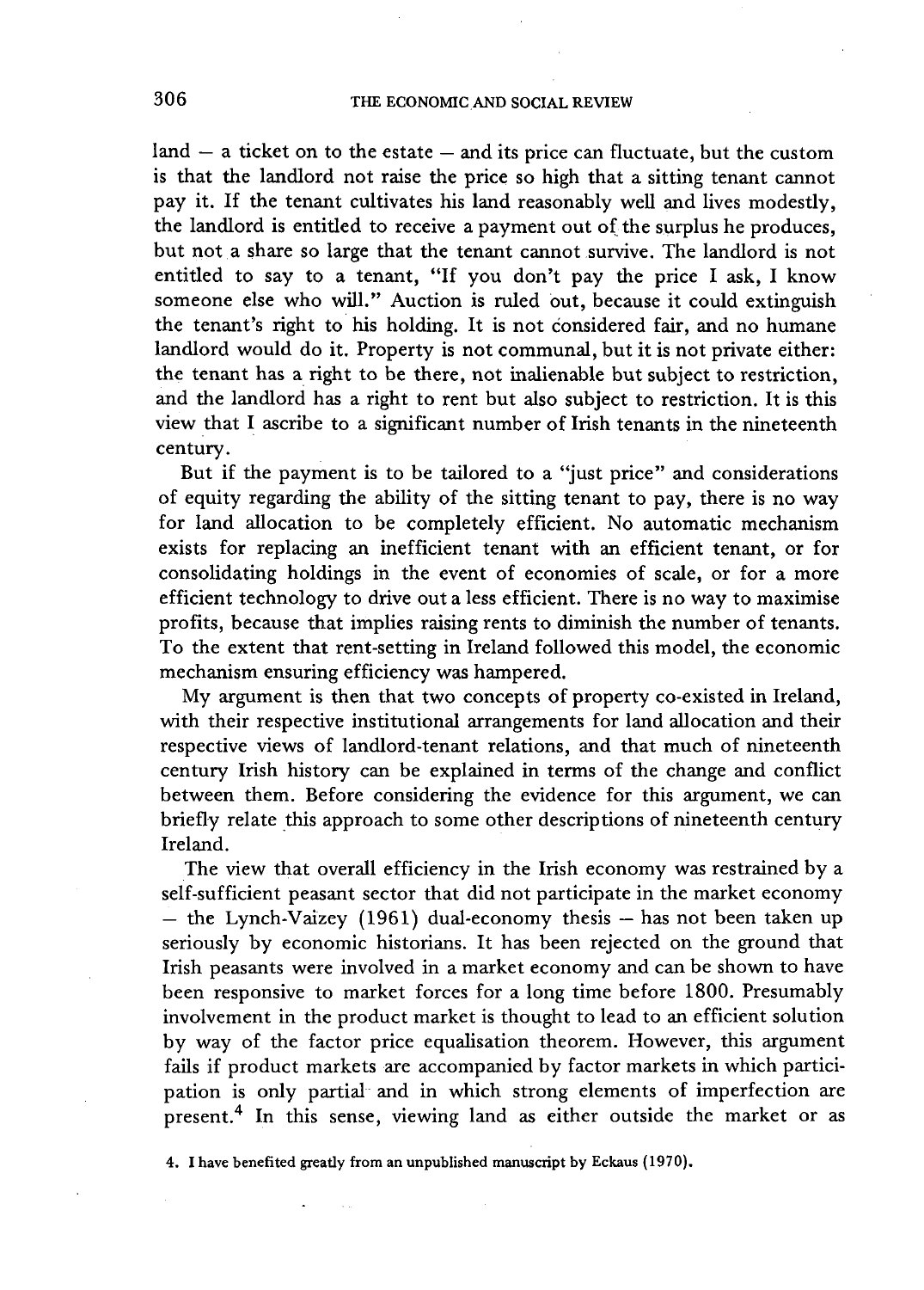$\lambda$  = a ticket on to the estate  $\lambda$  = and its price can fluctuate, but the custom is that the landlord not raise the price so high that a sitting tenant cannot pay it. If the tenant cultivates his land reasonably well and lives modestly, the landlord is entitled to receive a payment out of the surplus he produces, but not a share so large that the tenant cannot survive. The landlord is not entitled to say to a tenant, "If you don't pay the price I ask, I know someone else who will." Auction is ruled out, because it could extinguish the tenant's right to his holding. It is not considered fair, and no humane landlord would do it. Property is not communal, but it is not private either: the tenant has a right to be there, not inalienable but subject to restriction, and the landlord has a right to rent but also subject to restriction. It is this view that I ascribe to a significant number of Irish tenants in the nineteenth century.

But if the payment is to be tailored to a "just price" and considerations of equity regarding the ability of the sitting tenant to pay, there is no way for land allocation to be completely efficient. No automatic mechanism exists for replacing an inefficient tenant with an efficient tenant, or for consolidating holdings in the event of economies of scale, or for a more efficient technology to drive out a less efficient. There is no way to maximise profits, because that implies raising rents to diminish the number of tenants. To the extent that rent-setting in Ireland followed this model, the economic mechanism ensuring efficiency was hampered.

My argument is then that two concepts of property co-existed in Ireland, with their respective institutional arrangements for land allocation and their respective views of landlord-tenant relations, and that much of nineteenth century Irish history can be explained in terms of the change and conflict between them. Before considering the evidence for this argument, we can briefly relate this approach to some other descriptions of nineteenth century Ireland.

The view that overall efficiency in the Irish economy was restrained by a self-sufficient peasant sector that did not participate in the market economy — the Lynch-Vaizey (1961) dual-economy thesis — has not been taken up seriously by economic historians. It has been rejected on the ground that Irish peasants were involved in a market economy and can be shown to have been responsive to market forces for a long time before 1800. Presumably involvement in the product market is thought to lead to an efficient solution by way of the factor price equalisation theorem. However, this argument fails if product markets are accompanied by factor markets in which participation is only partial and in which strong elements of imperfection are present.<sup>4</sup> In this sense, viewing land as either outside the market or as

**4. I have benefited greatly from an unpublished manuscript by Eckaus (1970).**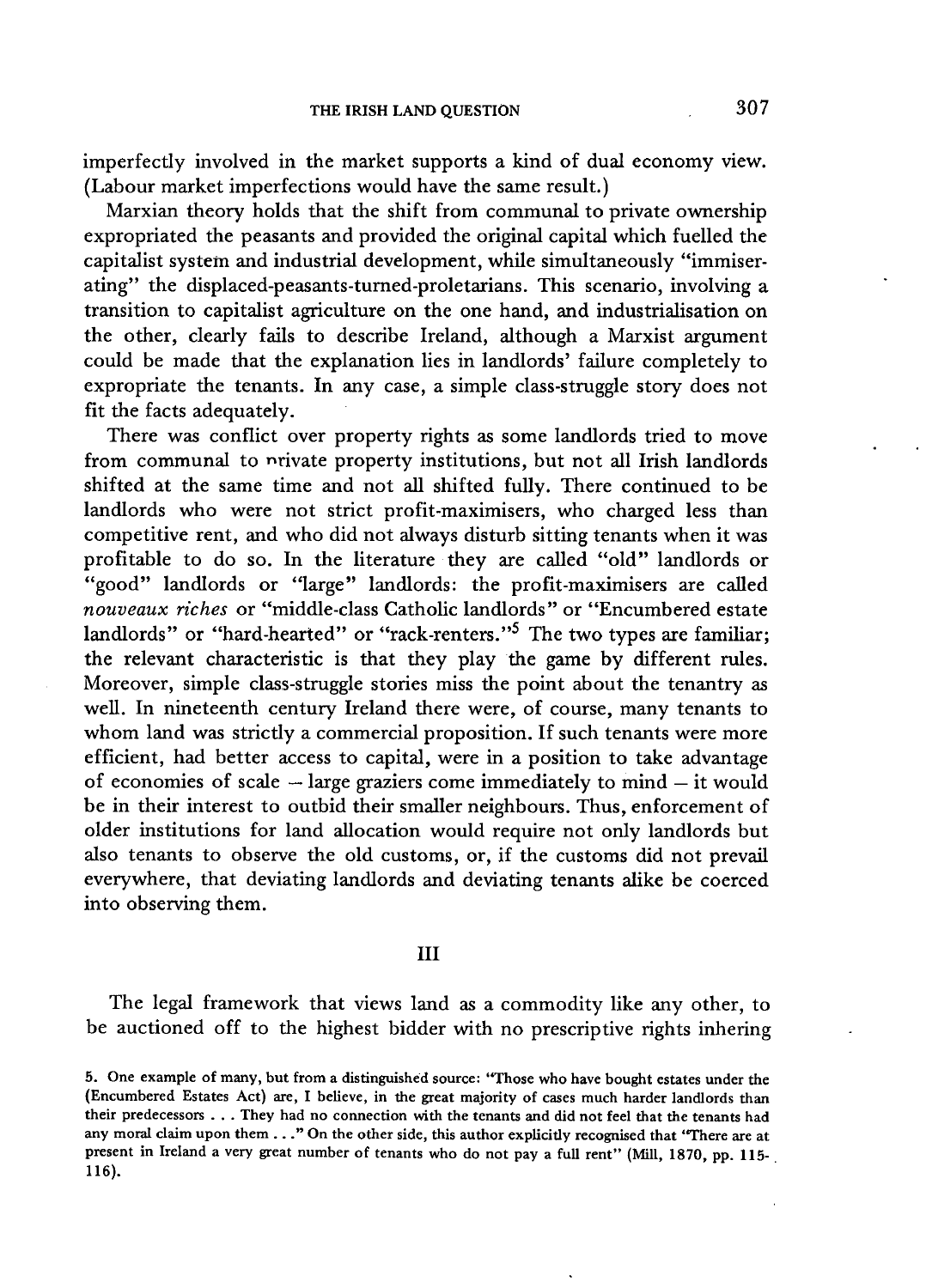imperfectly involved in the market supports a kind of dual economy view. (Labour market imperfections would have the same result.)

Marxian theory holds that the shift from communal to private ownership expropriated the peasants and provided the original capital which fuelled the capitalist system and industrial development, while simultaneously "immiserating" the displaced-peasants-turned-proletarians. This scenario, involving a transition to capitalist agriculture on the one hand, and industrialisation on the other, clearly fails to describe Ireland, although a Marxist argument could be made that the explanation lies in landlords' failure completely to expropriate the tenants. In any case, a simple class-struggle story does not fit the facts adequately.

There was conflict over property rights as some landlords tried to move from communal to nrivate property institutions, but not all Irish landlords shifted at the same time and not all shifted fully. There continued to be landlords who were not strict profit-maximisers, who charged less than competitive rent, and who did not always disturb sitting tenants when it was profitable to do so. In the literature they are called "old" landlords or "good" landlords or "large" landlords: the profit-maximisers are called *nouveaux riches* or "middle-class Catholic landlords" or "Encumbered estate landlords" or "hard-hearted" or "rack-renters."<sup>5</sup> The two types are familiar; the relevant characteristic is that they play the game by different rules. Moreover, simple class-struggle stories miss the point about the tenantry as well. In nineteenth century Ireland there were, of course, many tenants to whom land was strictly a commercial proposition. If such tenants were more efficient, had better access to capital, were in a position to take advantage of economies of scale  $-$  large graziers come immediately to mind  $-$  it would be in their interest to outbid their smaller neighbours. Thus, enforcement of older institutions for land allocation would require not only landlords but also tenants to observe the old customs, or, if the customs did not prevail everywhere, that deviating landlords and deviating tenants alike be coerced into observing them.

## $III$

The legal framework that views land as a commodity like any other, to be auctioned off to the highest bidder with no prescriptive rights inhering

**<sup>5.</sup> One example of many, but from a distinguished source: "Those who have bought estates under the (Encumbered Estates Act) are, I believe, in the great majority of cases much harder landlords than their predecessors . . . They had no connection with the tenants and did not feel that the tenants had any moral claim upon them . . ." On the other side, this author explicitly recognised that 'There are at present in Ireland a very great number of tenants who do not pay a full rent" (Mill, 1870, pp. 115- 116).**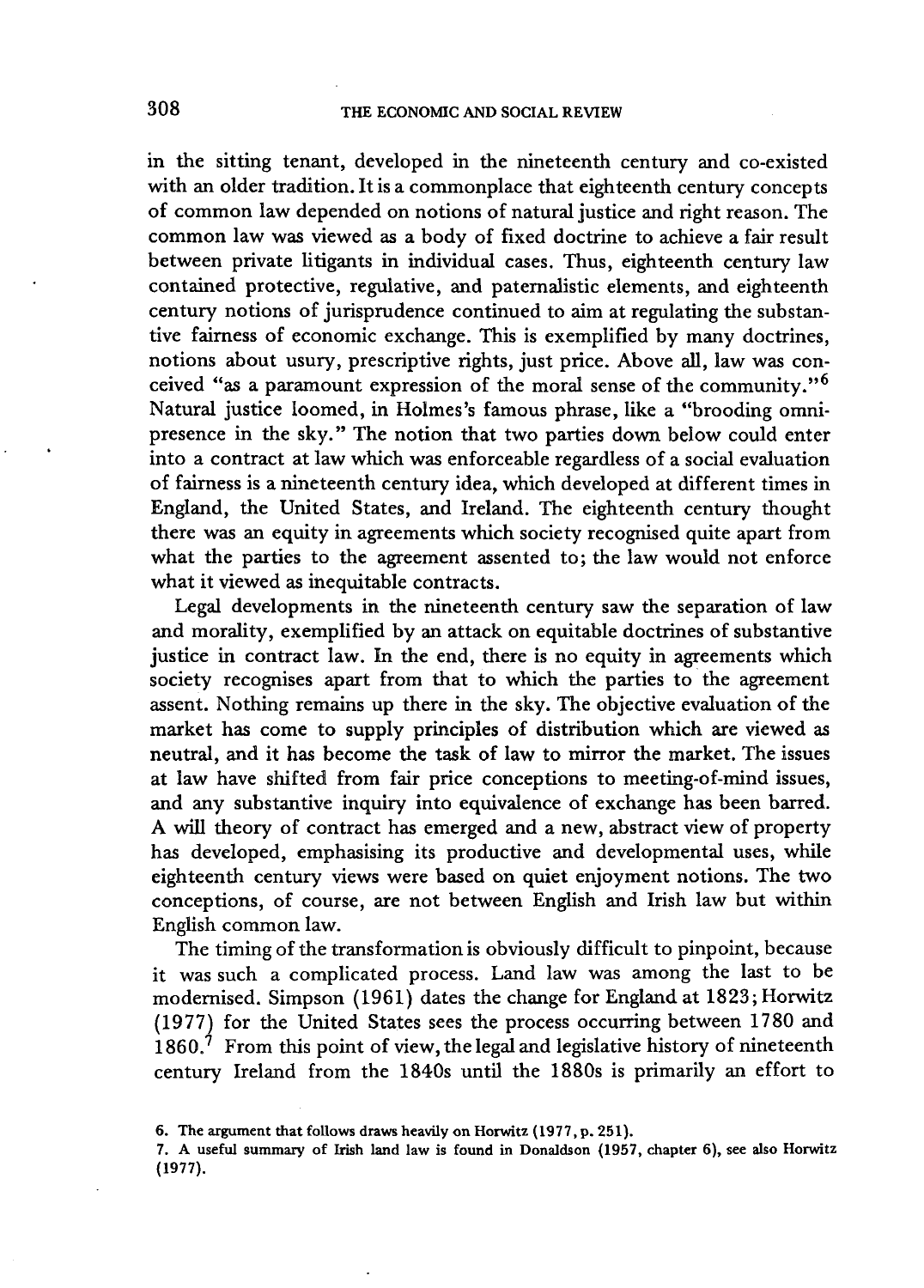in the sitting tenant, developed in the nineteenth century and co-existed with an older tradition. It is a commonplace that eighteenth century concepts of common law depended on notions of natural justice and right reason. The common law was viewed as a body of fixed doctrine to achieve a fair result between private litigants in individual cases. Thus, eighteenth century law contained protective, regulative, and paternalistic elements, and eighteenth century notions of jurisprudence continued to aim at regulating the substantive fairness of economic exchange. This is exemplified by many doctrines, notions about usury, prescriptive rights, just price. Above all, law was conceived "as a paramount expression of the moral sense of the community."<sup>6</sup> Natural justice loomed, in Holmes's famous phrase, like a "brooding omnipresence in the sky." The notion that two parties down below could enter into a contract at law which was enforceable regardless of a social evaluation of fairness is a nineteenth century idea, which developed at different times in England, the United States, and Ireland. The eighteenth century thought there was an equity in agreements which society recognised quite apart from what the parties to the agreement assented to; the law would not enforce what it viewed as inequitable contracts.

Legal developments in the nineteenth century saw the separation of law and morality, exemplified by an attack on equitable doctrines of substantive justice in contract law. In the end, there is no equity in agreements which society recognises apart from that to which the parties to the agreement assent. Nothing remains up there in the sky. The objective evaluation of the market has come to supply principles of distribution which are viewed as neutral, and it has become the task of law to mirror the market. The issues at law have shifted from fair price conceptions to meeting-of-mind issues, and any substantive inquiry into equivalence of exchange has been barred. A will theory of contract has emerged and a new, abstract view of property has developed, emphasising its productive and developmental uses, while eighteenth century views were based on quiet enjoyment notions. The two conceptions, of course, are not between English and Irish law but within English common law.

The timing of the transformation is obviously difficult to pinpoint, because it was such a complicated process. Land law was among the last to be modernised. Simpson (1961) dates the change for England at 1823; Horwitz (1977) for the United States sees the process occurring between 1780 and 1860.' From this point of view, the legal and legislative history of nineteenth century Ireland from the 1840s until the 1880s is primarily an effort to

**<sup>6.</sup> The argument that follows draws heavily on Horwitz (1977, p. 251).** 

**<sup>7.</sup> A useful summary of Irish land law is found in Donaldson (1957, chapter 6), see also Horwitz (1977).**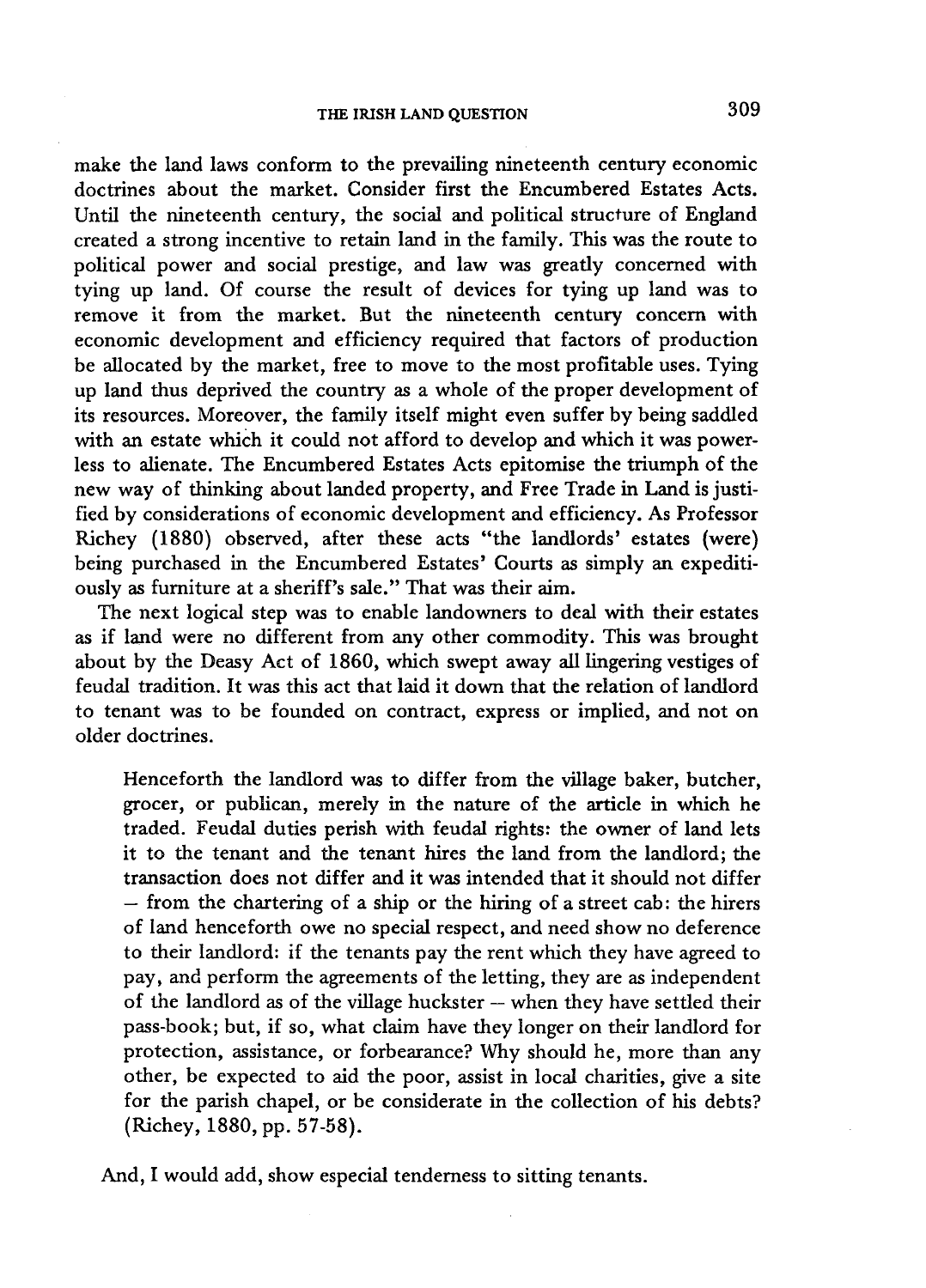make the land laws conform to the prevailing nineteenth century economic doctrines about the market. Consider first the Encumbered Estates Acts. Until the nineteenth century, the social and political structure of England created a strong incentive to retain land in the family. This was the route to political power and social prestige, and law was greatly concerned with tying up land. Of course the result of devices for tying up land was to remove it from the market. But the nineteenth century concern with economic development and efficiency required that factors of production be allocated by the market, free to move to the most profitable uses. Tying up land thus deprived the country as a whole of the proper development of its resources. Moreover, the family itself might even suffer by being saddled with an estate which it could not afford to develop and which it was powerless to alienate. The Encumbered Estates Acts epitomise the triumph of the new way of thinking about landed property, and Free Trade in Land is justified by considerations of economic development and efficiency. As Professor Richey (1880) observed, after these acts "the landlords' estates (were) being purchased in the Encumbered Estates' Courts as simply an expeditiously as furniture at a sheriff's sale." That was their aim.

The next logical step was to enable landowners to deal with their estates as if land were no different from any other commodity. This was brought about by the Deasy Act of 1860, which swept away all lingering vestiges of feudal tradition. It was this act that laid it down that the relation of landlord to tenant was to be founded on contract, express or implied, and not on older doctrines.

Henceforth the landlord was to differ from the village baker, butcher, grocer, or publican, merely in the nature of the article in which he traded. Feudal duties perish with feudal rights: the owner of land lets it to the tenant and the tenant hires the land from the landlord; the transaction does not differ and it was intended that it should not differ  $-$  from the chartering of a ship or the hiring of a street cab: the hirers of land henceforth owe no special respect, and need show no deference to their landlord: if the tenants pay the rent which they have agreed to pay, and perform the agreements of the letting, they are as independent of the landlord as of the village huckster — when they have settled their pass-book; but, if so, what claim have they longer on their landlord for protection, assistance, or forbearance? Why should he, more than any other, be expected to aid the poor, assist in local charities, give a site for the parish chapel, or be considerate in the collection of his debts? (Richey, 1880, pp. 57-58).

And, I would add, show especial tenderness to sitting tenants.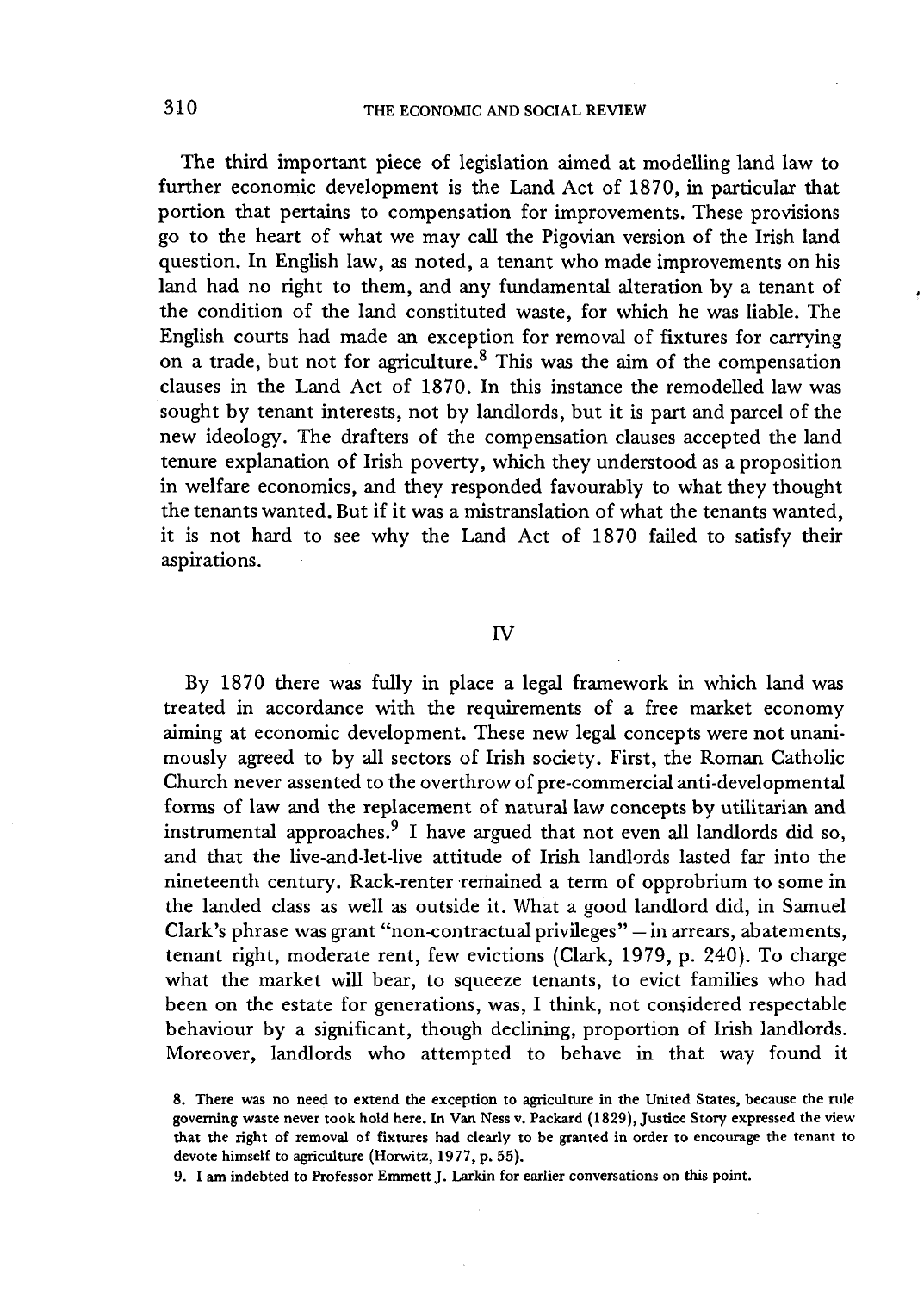The third important piece of legislation aimed at modelling land law to further economic development is the Land Act of 1870, in particular that portion that pertains to compensation for improvements. These provisions go to the heart of what we may call the Pigovian version of the Irish land question. In English law, as noted, a tenant who made improvements on his land had no right to them, and any fundamental alteration by a tenant of the condition of the land constituted waste, for which he was liable. The English courts had made an exception for removal of fixtures for carrying on a trade, but not for agriculture.<sup>8</sup> This was the aim of the compensation clauses in the Land Act of 1870. In this instance the remodelled law was sought by tenant interests, not by landlords, but it is part and parcel of the new ideology. The drafters of the compensation clauses accepted the land tenure explanation of Irish poverty, which they understood as a proposition in welfare economics, and they responded favourably to what they thought the tenants wanted. But if it was a mistranslation of what the tenants wanted, it is not hard to see why the Land Act of 1870 failed to satisfy their aspirations.

## **IV**

By 1870 there was fully in place a legal framework in which land was treated in accordance with the requirements of a free market economy aiming at economic development. These new legal concepts were not unanimously agreed to by all sectors of Irish society. First, the Roman Catholic Church never assented to the overthrow of pre-commercial anti-developmental forms of law and the replacement of natural law concepts by utilitarian and instrumental approaches.<sup>9</sup> I have argued that not even all landlords did so, and that the live-and-let-live attitude of Irish landlords lasted far into the nineteenth century. Rack-renter remained a term of opprobrium to some in the landed class as well as outside it. What a good landlord did, in Samuel Clark's phrase was grant "non-contractual privileges" — in arrears, abatements, tenant right, moderate rent, few evictions (Clark, 1979, p. 240). To charge what the market will bear, to squeeze tenants, to evict families who had been on the estate for generations, was, I think, not considered respectable behaviour by a significant, though declining, proportion of Irish landlords. Moreover, landlords who attempted to behave in that way found it

**9. I am indebted to Professor Emmett J . Larkin for earlier conversations on this point.** 

**<sup>8.</sup> There was no need to extend the exception to agriculture in the United States, because the rule governing waste never took hold here. In Van Ness v. Packard (1829), Justice Story expressed the view that the right of removal of fixtures had clearly to be granted in order to encourage the tenant to devote himself to agriculture (Horwitz, 1977, p. 55).**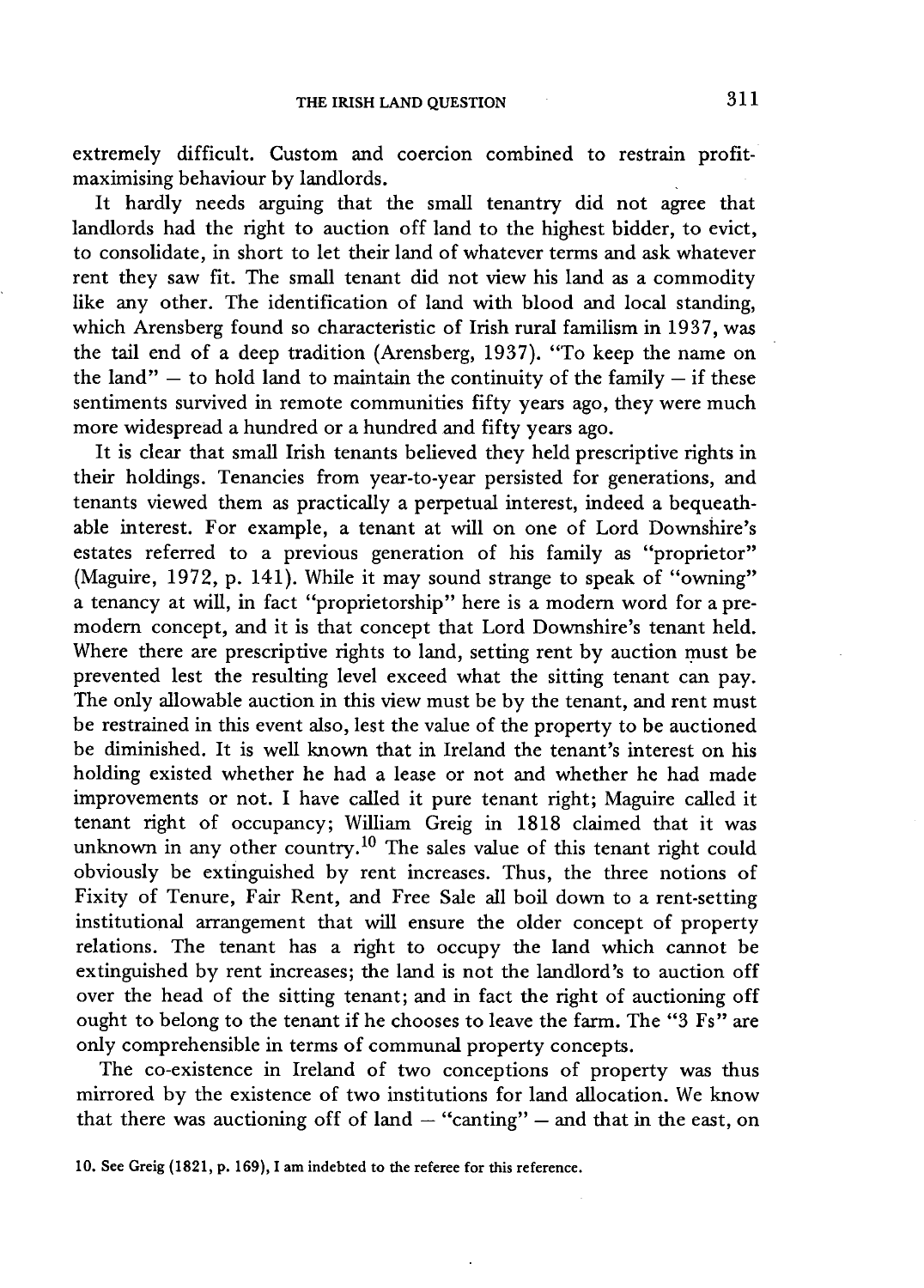extremely difficult. Custom and coercion combined to restrain profitmaximising behaviour by landlords.

It hardly needs arguing that the small tenantry did not agree that landlords had the right to auction off land to the highest bidder, to evict, to consolidate, in short to let their land of whatever terms and ask whatever rent they saw fit. The small tenant did not view his land as a commodity like any other. The identification of land with blood and local standing, which Arensberg found so characteristic of Irish rural familism in 1937, was the tail end of a deep tradition (Arensberg, 1937). "To keep the name on the land"  $-$  to hold land to maintain the continuity of the family  $-$  if these sentiments survived in remote communities fifty years ago, they were much more widespread a hundred or a hundred and fifty years ago.

It is clear that small Irish tenants believed they held prescriptive rights in their holdings. Tenancies from year-to-year persisted for generations, and tenants viewed them as practically a perpetual interest, indeed a bequeathable interest. For example, a tenant at will on one of Lord Downshire's estates referred to a previous generation of his family as "proprietor" (Maguire, 1972, p. 141). While it may sound strange to speak of "owning" a tenancy at will, in fact "proprietorship" here is a modern word for a premodern concept, and it is that concept that Lord Downshire's tenant held. Where there are prescriptive rights to land, setting rent by auction must be prevented lest the resulting level exceed what the sitting tenant can pay. The only allowable auction in this view must be by the tenant, and rent must be restrained in this event also, lest the value of the property to be auctioned be diminished. It is well known that in Ireland the tenant's interest on his holding existed whether he had a lease or not and whether he had made improvements or not. I have called it pure tenant right; Maguire called it tenant right of occupancy; William Greig in 1818 claimed that it was unknown in any other country.<sup>10</sup> The sales value of this tenant right could obviously be extinguished by rent increases. Thus, the three notions of Fixity of Tenure, Fair Rent, and Free Sale all boil down to a rent-setting institutional arrangement that will ensure the older concept of property relations. The tenant has a right to occupy the land which cannot be extinguished by rent increases; the land is not the landlord's to auction off over the head of the sitting tenant; and in fact the right of auctioning off ought to belong to the tenant if he chooses to leave the farm. The "3 Fs" are only comprehensible in terms of communal property concepts.

The co-existence in Ireland of two conceptions of property was thus mirrored by the existence of two institutions for land allocation. We know that there was auctioning off of land  $-$  "canting"  $-$  and that in the east, on

**<sup>10.</sup> See Greig (1821, p. 169), I am indebted to the referee for this reference.**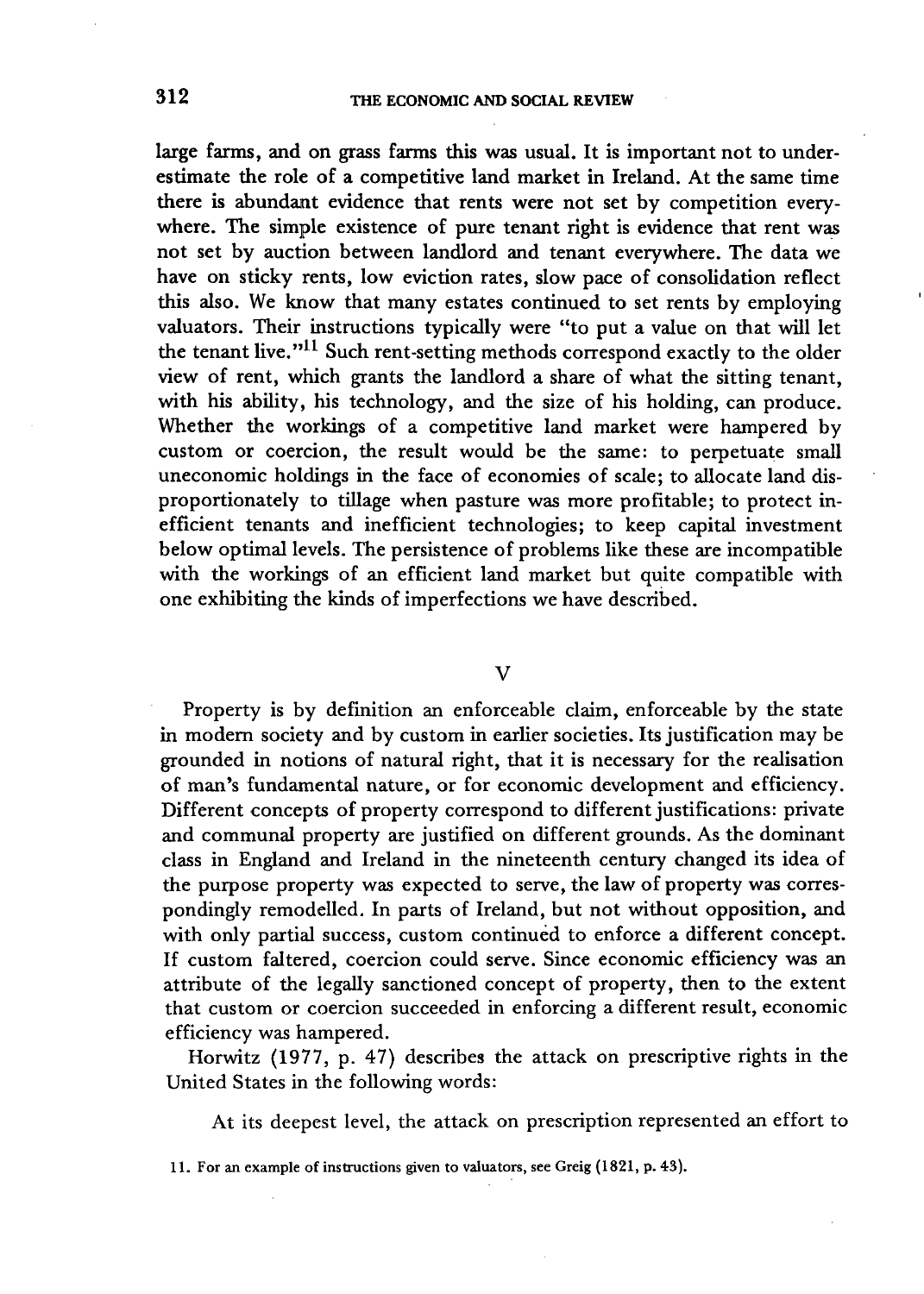large farms, and on grass farms this was usual. It is important not to underestimate the role of a competitive land market in Ireland. At the same time there is abundant evidence that rents were not set by competition everywhere. The simple existence of pure tenant right is evidence that rent was not set by auction between landlord and tenant everywhere. The data we have on sticky rents, low eviction rates, slow pace of consolidation reflect this also. We know that many estates continued to set rents by employing valuators. Their instructions typically were "to put a value on that will let the tenant live."  $^{11}$  Such rent-setting methods correspond exactly to the older view of rent, which grants the landlord a share of what the sitting tenant, with his ability, his technology, and the size of his holding, can produce. Whether the workings of a competitive land market were hampered by custom or coercion, the result would be the same: to perpetuate small uneconomic holdings in the face of economies of scale; to allocate land disproportionately to tillage when pasture was more profitable; to protect inefficient tenants and inefficient technologies; to keep capital investment below optimal levels. The persistence of problems like these are incompatible with the workings of an efficient land market but quite compatible with one exhibiting the kinds of imperfections we have described.

### V

Property is by definition an enforceable claim, enforceable by the state in modern society and by custom in earlier societies. Its justification may be grounded in notions of natural right, that it is necessary for the realisation of man's fundamental nature, or for economic development and efficiency. Different concepts of property correspond to different justifications: private and communal property are justified on different grounds. As the dominant class in England and Ireland in the nineteenth century changed its idea of the purpose property was expected to serve, the law of property was correspondingly remodelled. In parts of Ireland, but not without opposition, and with only partial success, custom continued to enforce a different concept. If custom faltered, coercion could serve. Since economic efficiency was an attribute of the legally sanctioned concept of property, then to the extent that custom or coercion succeeded in enforcing a different result, economic efficiency was hampered.

Horwitz (1977, p. 47) describes the attack on prescriptive rights in the United States in the following words:

At its deepest level, the attack on prescription represented an effort to

**<sup>11.</sup> For an example of instructions given to valuators, see Greig (1821, p. 43).**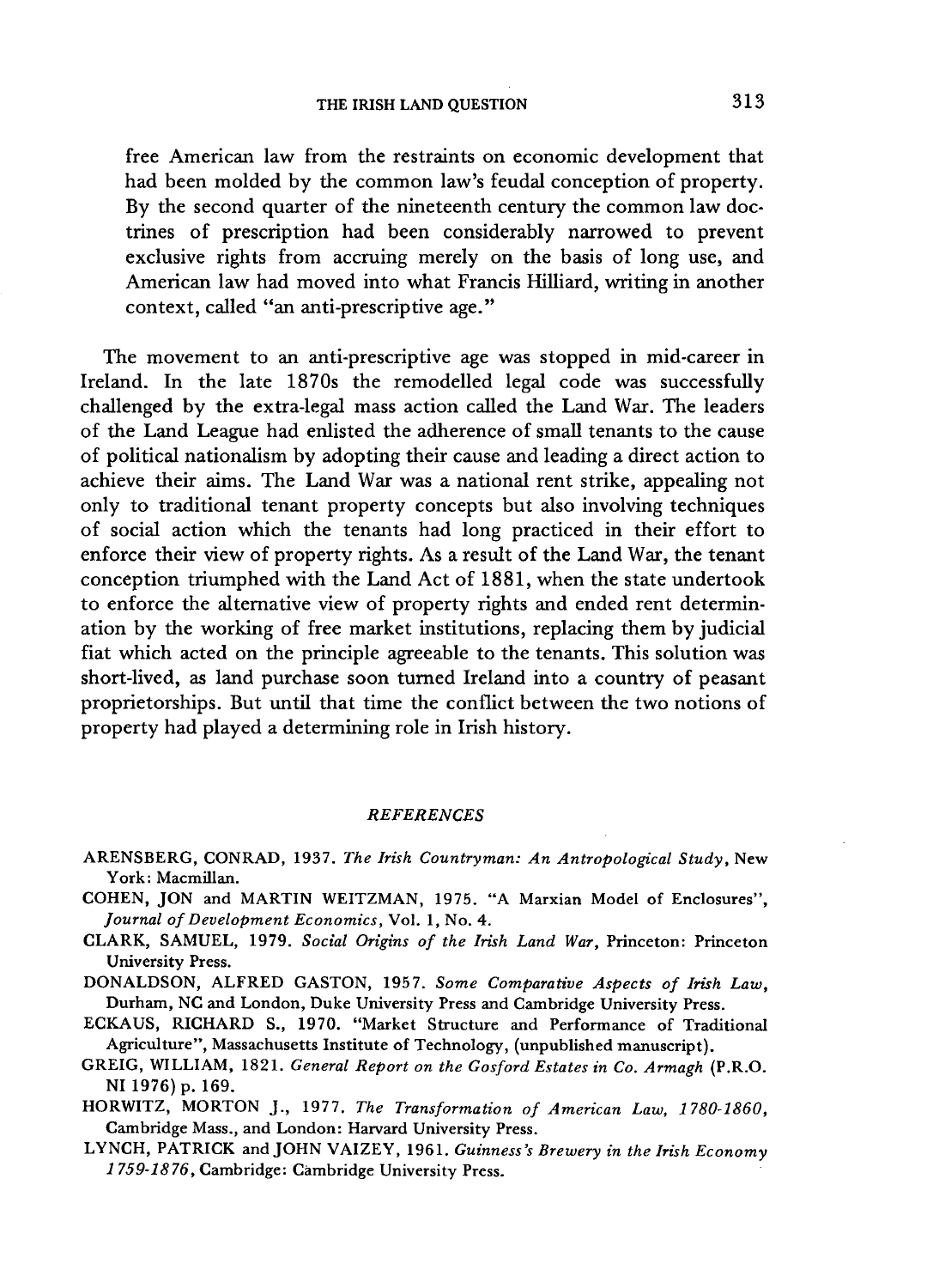free American law from the restraints on economic development that had been molded by the common law's feudal conception of property. By the second quarter of the nineteenth century the common law doctrines of prescription had been considerably narrowed to prevent exclusive rights from accruing merely on the basis of long use, and American law had moved into what Francis Hilliard, writing in another context, called "an anti-prescriptive age."

The movement to an anti-prescriptive age was stopped in mid-career in Ireland. In the late 1870s the remodelled legal code was successfully challenged by the extra-legal mass action called the Land War. The leaders of the Land League had enlisted the adherence of small tenants to the cause of political nationalism by adopting their cause and leading a direct action to achieve their aims. The Land War was a national rent strike, appealing not only to traditional tenant property concepts but also involving techniques of social action which the tenants had long practiced in their effort to enforce their view of property rights. As a result of the Land War, the tenant conception triumphed with the Land Act of 1881, when the state undertook to enforce the alternative view of property rights and ended rent determination by the working of free market institutions, replacing them by judicial fiat which acted on the principle agreeable to the tenants. This solution was short-lived, as land purchase soon turned Ireland into a country of peasant proprietorships. But until that time the conflict between the two notions of property had played a determining role in Irish history.

## *REFERENCES*

- **ARENSBERG , CONRAD , 1937.** *The Irish Countryman: An Antropological Study,* **New York : Macmillan.**
- **COHEN , JO N and MARTI N WEITZMAN , 1975. " A Marxian Model of Enclosures",**  *Journal of Development Economics,* **Vol . 1, No. 4.**
- **CLARK , SAMUEL , 1979.** *Social Origins of the Irish Land War,* **Princeton: Princeton University Press.**

**DONALDSON**, ALFRED GASTON, 1957. Some Comparative Aspects of Irish Law, **Durham , N C and London , Duke University Press and Cambridge University Press.** 

- **ECKAUS , RICHAR D S., 1970. "Market Structure and Performance of Traditional Agriculture", Massachusetts Institute of Technology, (unpublished manuscript).**
- **GREIG , WILLIAM , 1821.** *General Report on the Gosford Estates in Co. Armagh* **(P.R.O . N I 1976) p. 169.**
- **HORWITZ , MORTO N J. , 1977.** *The Transformation of American Law, 1780-1860,*  **Cambridge Mass., and London : Harvard University Press.**
- **LYNCH , PATRIC K and JOH N VAIZEY , 1961.** *Guinness's Brewery in the Irish Economy 1 759-1876,* **Cambridge: Cambridge University Press.**